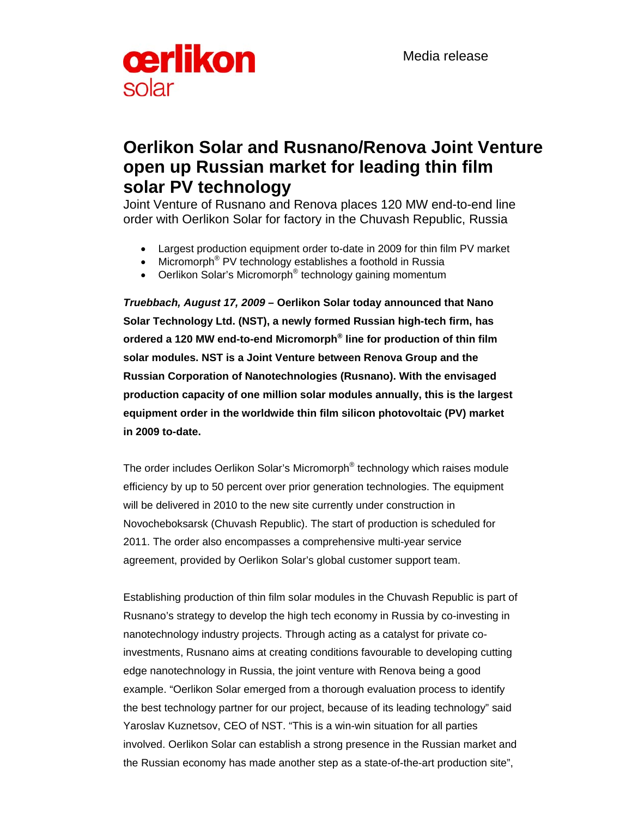Media release



# **Oerlikon Solar and Rusnano/Renova Joint Venture open up Russian market for leading thin film solar PV technology**

Joint Venture of Rusnano and Renova places 120 MW end-to-end line order with Oerlikon Solar for factory in the Chuvash Republic, Russia

- Largest production equipment order to-date in 2009 for thin film PV market
- Micromorph<sup>®</sup> PV technology establishes a foothold in Russia
- Oerlikon Solar's Micromorph<sup>®</sup> technology gaining momentum

*Truebbach, August 17, 2009 –* **Oerlikon Solar today announced that Nano Solar Technology Ltd. (NST), a newly formed Russian high-tech firm, has ordered a 120 MW end-to-end Micromorph® line for production of thin film solar modules. NST is a Joint Venture between Renova Group and the Russian Corporation of Nanotechnologies (Rusnano). With the envisaged production capacity of one million solar modules annually, this is the largest equipment order in the worldwide thin film silicon photovoltaic (PV) market in 2009 to-date.** 

The order includes Oerlikon Solar's Micromorph® technology which raises module efficiency by up to 50 percent over prior generation technologies. The equipment will be delivered in 2010 to the new site currently under construction in Novocheboksarsk (Chuvash Republic). The start of production is scheduled for 2011. The order also encompasses a comprehensive multi-year service agreement, provided by Oerlikon Solar's global customer support team.

Establishing production of thin film solar modules in the Chuvash Republic is part of Rusnano's strategy to develop the high tech economy in Russia by co-investing in nanotechnology industry projects. Through acting as a catalyst for private coinvestments, Rusnano aims at creating conditions favourable to developing cutting edge nanotechnology in Russia, the joint venture with Renova being a good example. "Oerlikon Solar emerged from a thorough evaluation process to identify the best technology partner for our project, because of its leading technology" said Yaroslav Kuznetsov, CEO of NST. "This is a win-win situation for all parties involved. Oerlikon Solar can establish a strong presence in the Russian market and the Russian economy has made another step as a state-of-the-art production site",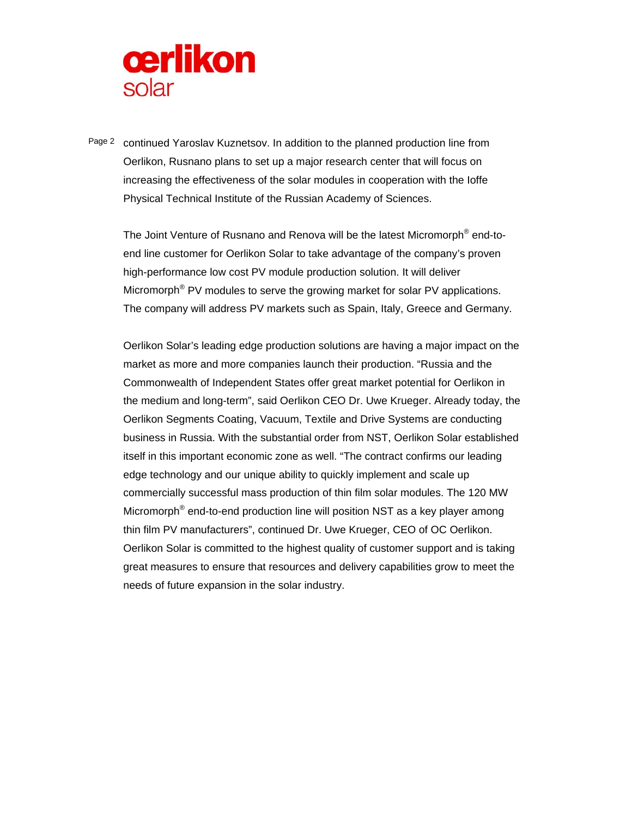

Page 2 continued Yaroslav Kuznetsov. In addition to the planned production line from Oerlikon, Rusnano plans to set up a major research center that will focus on increasing the effectiveness of the solar modules in cooperation with the Ioffe Physical Technical Institute of the Russian Academy of Sciences.

The Joint Venture of Rusnano and Renova will be the latest Micromorph® end-toend line customer for Oerlikon Solar to take advantage of the company's proven high-performance low cost PV module production solution. It will deliver Micromorph<sup>®</sup> PV modules to serve the growing market for solar PV applications. The company will address PV markets such as Spain, Italy, Greece and Germany.

Oerlikon Solar's leading edge production solutions are having a major impact on the market as more and more companies launch their production. "Russia and the Commonwealth of Independent States offer great market potential for Oerlikon in the medium and long-term", said Oerlikon CEO Dr. Uwe Krueger. Already today, the Oerlikon Segments Coating, Vacuum, Textile and Drive Systems are conducting business in Russia. With the substantial order from NST, Oerlikon Solar established itself in this important economic zone as well. "The contract confirms our leading edge technology and our unique ability to quickly implement and scale up commercially successful mass production of thin film solar modules. The 120 MW Micromorph<sup>®</sup> end-to-end production line will position NST as a key player among thin film PV manufacturers", continued Dr. Uwe Krueger, CEO of OC Oerlikon. Oerlikon Solar is committed to the highest quality of customer support and is taking great measures to ensure that resources and delivery capabilities grow to meet the needs of future expansion in the solar industry.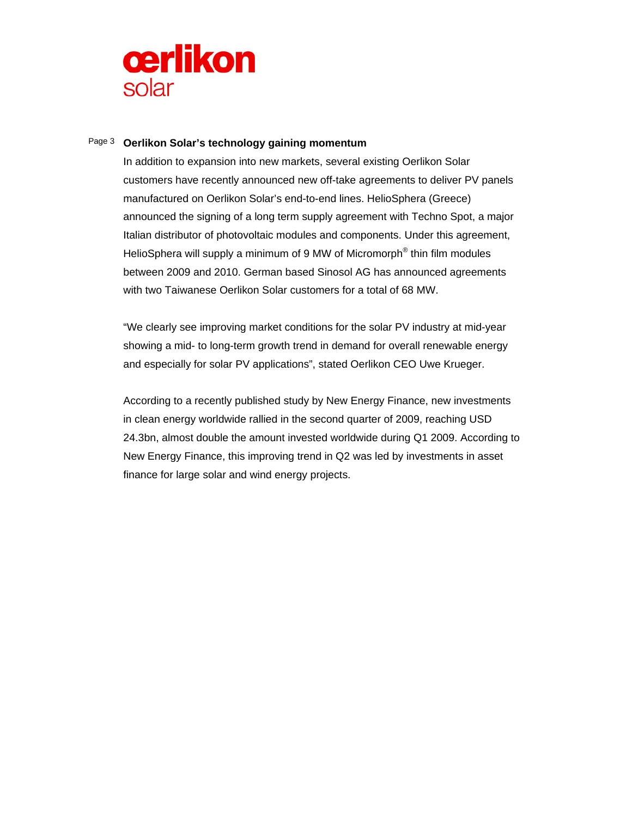

## Page 3 **Oerlikon Solar's technology gaining momentum**

In addition to expansion into new markets, several existing Oerlikon Solar customers have recently announced new off-take agreements to deliver PV panels manufactured on Oerlikon Solar's end-to-end lines. HelioSphera (Greece) announced the signing of a long term supply agreement with Techno Spot, a major Italian distributor of photovoltaic modules and components. Under this agreement, HelioSphera will supply a minimum of 9 MW of Micromorph<sup>®</sup> thin film modules between 2009 and 2010. German based Sinosol AG has announced agreements with two Taiwanese Oerlikon Solar customers for a total of 68 MW.

"We clearly see improving market conditions for the solar PV industry at mid-year showing a mid- to long-term growth trend in demand for overall renewable energy and especially for solar PV applications", stated Oerlikon CEO Uwe Krueger.

According to a recently published study by New Energy Finance, new investments in clean energy worldwide rallied in the second quarter of 2009, reaching USD 24.3bn, almost double the amount invested worldwide during Q1 2009. According to New Energy Finance, this improving trend in Q2 was led by investments in asset finance for large solar and wind energy projects.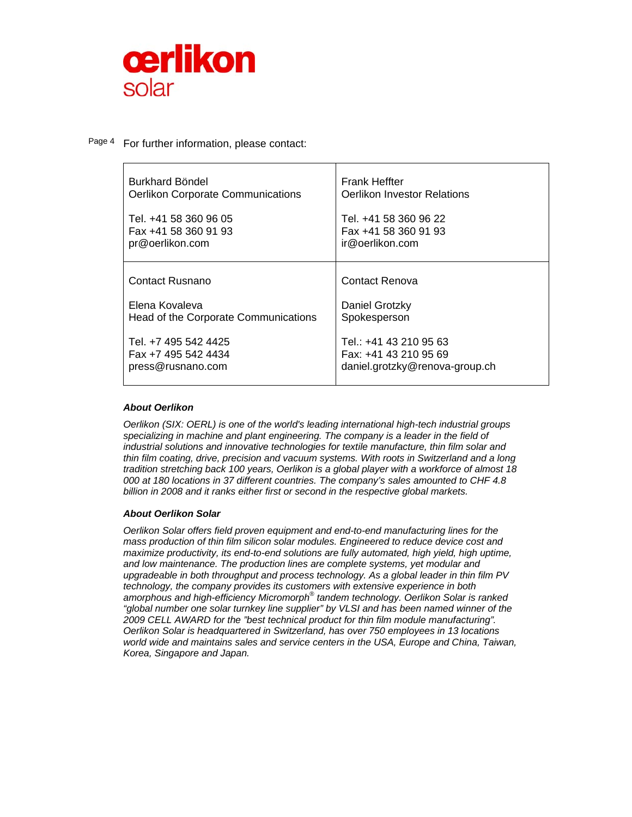

Page 4 For further information, please contact:

| Burkhard Böndel                          | <b>Frank Heffter</b>           |
|------------------------------------------|--------------------------------|
| <b>Oerlikon Corporate Communications</b> | Oerlikon Investor Relations    |
| Tel. +41 58 360 96 05                    | Tel. +41 58 360 96 22          |
| Fax +41 58 360 91 93                     | Fax +41 58 360 91 93           |
| pr@oerlikon.com                          | ir@oerlikon.com                |
| Contact Rusnano                          | Contact Renova                 |
| Elena Kovaleva                           | Daniel Grotzky                 |
| Head of the Corporate Communications     | Spokesperson                   |
| Tel. +7 495 542 4425                     | Tel.: +41 43 210 95 63         |
| Fax +7 495 542 4434                      | Fax: +41 43 210 95 69          |
| press@rusnano.com                        | daniel.grotzky@renova-group.ch |

### *About Oerlikon*

*Oerlikon (SIX: OERL) is one of the world's leading international high-tech industrial groups specializing in machine and plant engineering. The company is a leader in the field of industrial solutions and innovative technologies for textile manufacture, thin film solar and thin film coating, drive, precision and vacuum systems. With roots in Switzerland and a long tradition stretching back 100 years, Oerlikon is a global player with a workforce of almost 18 000 at 180 locations in 37 different countries. The company's sales amounted to CHF 4.8 billion in 2008 and it ranks either first or second in the respective global markets.* 

#### *About Oerlikon Solar*

*Oerlikon Solar offers field proven equipment and end-to-end manufacturing lines for the mass production of thin film silicon solar modules. Engineered to reduce device cost and maximize productivity, its end-to-end solutions are fully automated, high yield, high uptime, and low maintenance. The production lines are complete systems, yet modular and upgradeable in both throughput and process technology. As a global leader in thin film PV technology, the company provides its customers with extensive experience in both*  amorphous and high-efficiency Micromorph<sup>®</sup> tandem technology. Oerlikon Solar is ranked *"global number one solar turnkey line supplier" by VLSI and has been named winner of the 2009 CELL AWARD for the "best technical product for thin film module manufacturing". Oerlikon Solar is headquartered in Switzerland, has over 750 employees in 13 locations world wide and maintains sales and service centers in the USA, Europe and China, Taiwan, Korea, Singapore and Japan.*